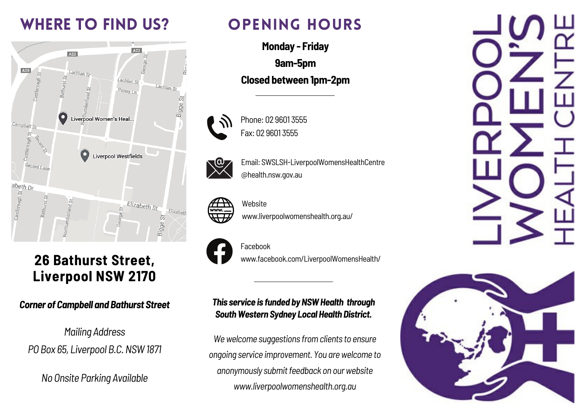### WHERE TO FIND US?



### **26 Bathurst Street, Liverpool NSW 2170**

#### *Corner of Campbell and Bathurst Street*

*Mailing Address PO Box 65, Liverpool B.C.NSW1871*

*No Onsite Parking Available*

### OPENING HOURS

**Monday - Friday 9am-5pm Closed between 1pm-2pm**



Email: SWSLSH-LiverpoolWomensHealthCentre

Website

Phone: 02 9601 3555

Fax: 02 9601 3555







Facebook www.facebook.com/LiverpoolWomensHealth/

www.liverpoolwomenshealth.org.au/

#### *This* service is funded by NSW Health through *SouthWestern Sydney Local Health District.*

*Wewelcome suggestions fromclients to ensure ongoing service improvement. You arewelcome to anonymously submitfeedback on ourwebsite www.liverpoolwomenshealth.org.au*